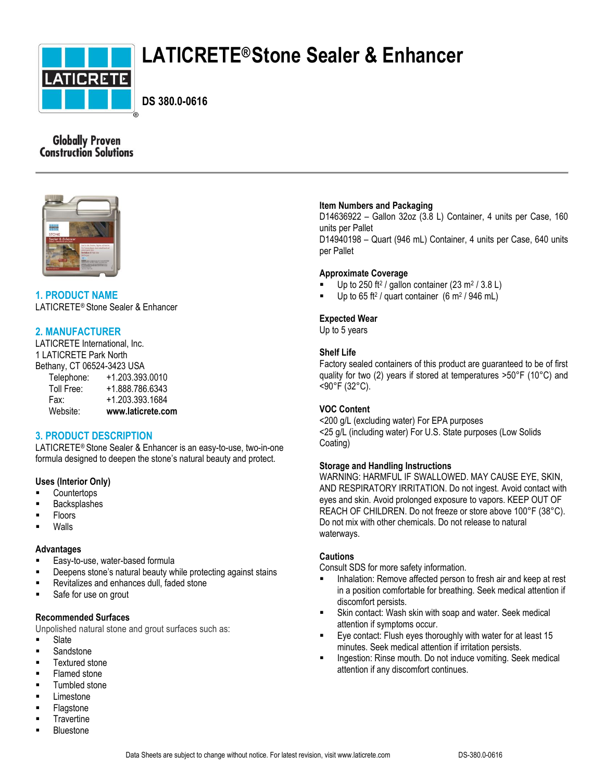

# **LATICRETE®Stone Sealer & Enhancer**

**DS 380.0-0616**

# **Globally Proven Construction Solutions**



# **1. PRODUCT NAME** LATICRETE® Stone Sealer & Enhancer

# **2. MANUFACTURER**

LATICRETE International, Inc. 1 LATICRETE Park North Bethany, CT 06524-3423 USA Telephone: +1.203.393.0010 Toll Free: +1.888.786.6343 Fax: +1.203.393.1684 Website: **www.laticrete.com**

# **3. PRODUCT DESCRIPTION**

LATICRETE® Stone Sealer & Enhancer is an easy-to-use, two-in-one formula designed to deepen the stone's natural beauty and protect.

# **Uses (Interior Only)**

- **Countertops**
- Backsplashes
- Floors
- Walls

# **Advantages**

- **Easy-to-use, water-based formula**
- **Deepens stone's natural beauty while protecting against stains**
- Revitalizes and enhances dull, faded stone
- **Safe for use on grout**

# **Recommended Surfaces**

Unpolished natural stone and grout surfaces such as:

- **Slate**
- **Sandstone**
- **Textured stone**
- Flamed stone
- Tumbled stone
- Limestone
- Flagstone
- **Travertine** Bluestone

# **Item Numbers and Packaging**

D14636922 – Gallon 32oz (3.8 L) Container, 4 units per Case, 160 units per Pallet D14940198 – Quart (946 mL) Container, 4 units per Case, 640 units per Pallet

# **Approximate Coverage**

- Up to 250 ft<sup>2</sup> / gallon container (23 m<sup>2</sup> / 3.8 L)
- Up to 65 ft<sup>2</sup> / quart container  $(6 \text{ m}^2 / 946 \text{ mL})$

## **Expected Wear**

Up to 5 years

# **Shelf Life**

Factory sealed containers of this product are guaranteed to be of first quality for two (2) years if stored at temperatures >50°F (10°C) and <90°F (32°C).

# **VOC Content**

<200 g/L (excluding water) For EPA purposes <25 g/L (including water) For U.S. State purposes (Low Solids Coating)

# **Storage and Handling Instructions**

WARNING: HARMFUL IF SWALLOWED. MAY CAUSE EYE, SKIN, AND RESPIRATORY IRRITATION. Do not ingest. Avoid contact with eyes and skin. Avoid prolonged exposure to vapors. KEEP OUT OF REACH OF CHILDREN. Do not freeze or store above 100°F (38°C). Do not mix with other chemicals. Do not release to natural waterways.

# **Cautions**

Consult SDS for more safety information.

- Inhalation: Remove affected person to fresh air and keep at rest in a position comfortable for breathing. Seek medical attention if discomfort persists.
- Skin contact: Wash skin with soap and water. Seek medical attention if symptoms occur.
- Eye contact: Flush eyes thoroughly with water for at least 15 minutes. Seek medical attention if irritation persists.
- **Ingestion: Rinse mouth. Do not induce vomiting. Seek medical** attention if any discomfort continues.